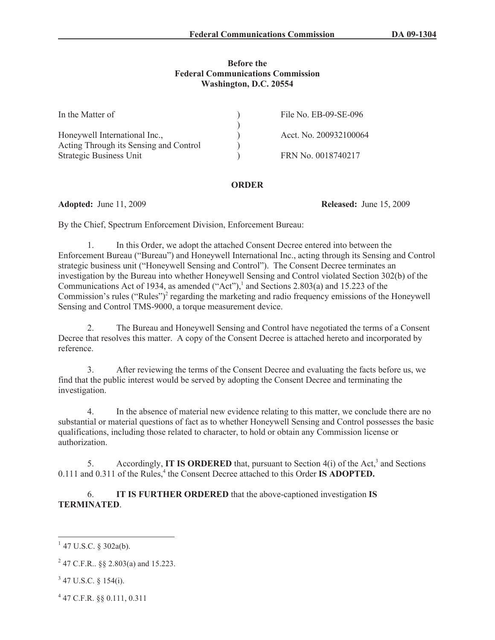## **Before the Federal Communications Commission Washington, D.C. 20554**

| In the Matter of                       | File No. EB-09-SE-096  |
|----------------------------------------|------------------------|
|                                        |                        |
| Honeywell International Inc.,          | Acct. No. 200932100064 |
| Acting Through its Sensing and Control |                        |
| Strategic Business Unit                | FRN No. 0018740217     |

## **ORDER**

**Adopted:** June 11, 2009 **Released:** June 15, 2009

By the Chief, Spectrum Enforcement Division, Enforcement Bureau:

1. In this Order, we adopt the attached Consent Decree entered into between the Enforcement Bureau ("Bureau") and Honeywell International Inc., acting through its Sensing and Control strategic business unit ("Honeywell Sensing and Control"). The Consent Decree terminates an investigation by the Bureau into whether Honeywell Sensing and Control violated Section 302(b) of the Communications Act of 1934, as amended ("Act"),<sup>1</sup> and Sections 2.803(a) and 15.223 of the Commission's rules ("Rules")<sup>2</sup> regarding the marketing and radio frequency emissions of the Honeywell Sensing and Control TMS-9000, a torque measurement device.

2. The Bureau and Honeywell Sensing and Control have negotiated the terms of a Consent Decree that resolves this matter. A copy of the Consent Decree is attached hereto and incorporated by reference.

3. After reviewing the terms of the Consent Decree and evaluating the facts before us, we find that the public interest would be served by adopting the Consent Decree and terminating the investigation.

4. In the absence of material new evidence relating to this matter, we conclude there are no substantial or material questions of fact as to whether Honeywell Sensing and Control possesses the basic qualifications, including those related to character, to hold or obtain any Commission license or authorization.

5. Accordingly, **IT IS ORDERED** that, pursuant to Section 4(i) of the Act,<sup>3</sup> and Sections 0.111 and 0.311 of the Rules,<sup>4</sup> the Consent Decree attached to this Order **IS ADOPTED.** 

6. **IT IS FURTHER ORDERED** that the above-captioned investigation **IS TERMINATED**.

- $3$  47 U.S.C. § 154(i).
- 4 47 C.F.R. §§ 0.111, 0.311

 $1$  47 U.S.C. § 302a(b).

<sup>&</sup>lt;sup>2</sup> 47 C.F.R.. §§ 2.803(a) and 15.223.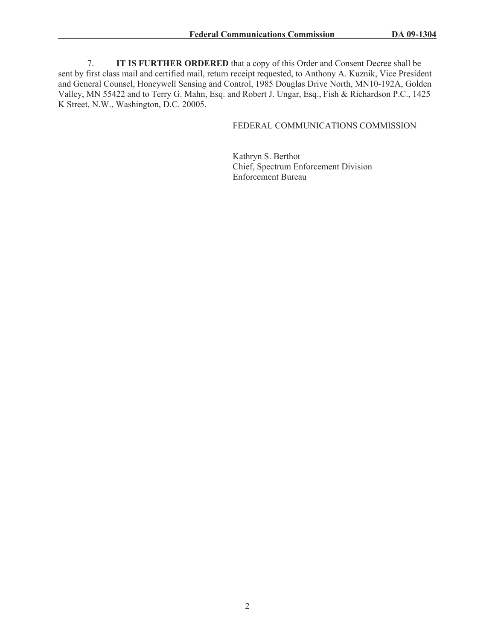7. **IT IS FURTHER ORDERED** that a copy of this Order and Consent Decree shall be sent by first class mail and certified mail, return receipt requested, to Anthony A. Kuznik, Vice President and General Counsel, Honeywell Sensing and Control, 1985 Douglas Drive North, MN10-192A, Golden Valley, MN 55422 and to Terry G. Mahn, Esq. and Robert J. Ungar, Esq., Fish & Richardson P.C., 1425 K Street, N.W., Washington, D.C. 20005.

# FEDERAL COMMUNICATIONS COMMISSION

Kathryn S. Berthot Chief, Spectrum Enforcement Division Enforcement Bureau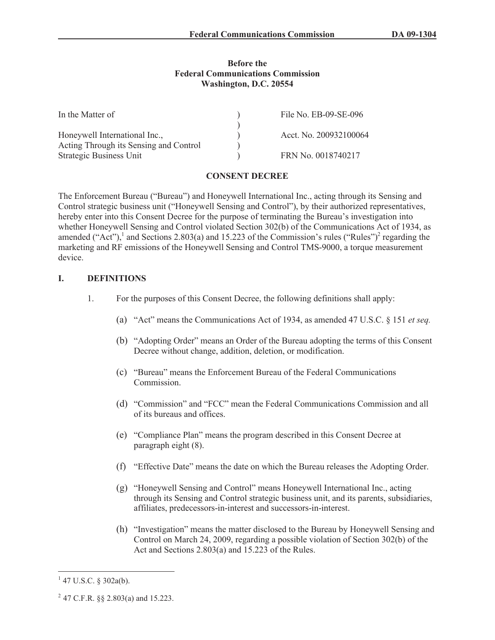### **Before the Federal Communications Commission Washington, D.C. 20554**

| In the Matter of                       | File No. EB-09-SE-096  |
|----------------------------------------|------------------------|
|                                        |                        |
| Honeywell International Inc.,          | Acct. No. 200932100064 |
| Acting Through its Sensing and Control |                        |
| Strategic Business Unit                | FRN No. 0018740217     |

#### **CONSENT DECREE**

The Enforcement Bureau ("Bureau") and Honeywell International Inc., acting through its Sensing and Control strategic business unit ("Honeywell Sensing and Control"), by their authorized representatives, hereby enter into this Consent Decree for the purpose of terminating the Bureau's investigation into whether Honeywell Sensing and Control violated Section 302(b) of the Communications Act of 1934, as amended ("Act"),<sup>1</sup> and Sections 2.803(a) and 15.223 of the Commission's rules ("Rules")<sup>2</sup> regarding the marketing and RF emissions of the Honeywell Sensing and Control TMS-9000, a torque measurement device.

## **I. DEFINITIONS**

- 1. For the purposes of this Consent Decree, the following definitions shall apply:
	- (a) "Act" means the Communications Act of 1934, as amended 47 U.S.C. § 151 *et seq.*
	- (b) "Adopting Order" means an Order of the Bureau adopting the terms of this Consent Decree without change, addition, deletion, or modification.
	- (c) "Bureau" means the Enforcement Bureau of the Federal Communications **Commission**
	- (d) "Commission" and "FCC" mean the Federal Communications Commission and all of its bureaus and offices.
	- (e) "Compliance Plan" means the program described in this Consent Decree at paragraph eight (8).
	- (f) "Effective Date" means the date on which the Bureau releases the Adopting Order.
	- (g) "Honeywell Sensing and Control" means Honeywell International Inc., acting through its Sensing and Control strategic business unit, and its parents, subsidiaries, affiliates, predecessors-in-interest and successors-in-interest.
	- (h) "Investigation" means the matter disclosed to the Bureau by Honeywell Sensing and Control on March 24, 2009, regarding a possible violation of Section 302(b) of the Act and Sections 2.803(a) and 15.223 of the Rules.

 $1$  47 U.S.C. § 302a(b).

<sup>&</sup>lt;sup>2</sup> 47 C.F.R. §§ 2.803(a) and 15.223.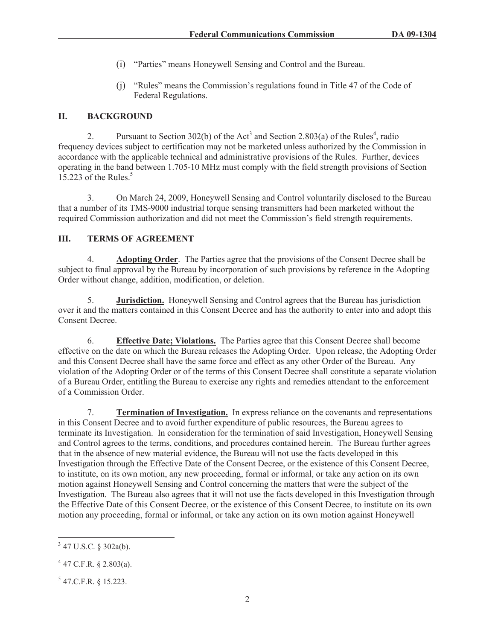- (i) "Parties" means Honeywell Sensing and Control and the Bureau.
- (j) "Rules" means the Commission's regulations found in Title 47 of the Code of Federal Regulations.

# **II. BACKGROUND**

2. Pursuant to Section 302(b) of the Act<sup>3</sup> and Section 2.803(a) of the Rules<sup>4</sup>, radio frequency devices subject to certification may not be marketed unless authorized by the Commission in accordance with the applicable technical and administrative provisions of the Rules. Further, devices operating in the band between 1.705-10 MHz must comply with the field strength provisions of Section 15.223 of the Rules. $5$ 

3. On March 24, 2009, Honeywell Sensing and Control voluntarily disclosed to the Bureau that a number of its TMS-9000 industrial torque sensing transmitters had been marketed without the required Commission authorization and did not meet the Commission's field strength requirements.

# **III. TERMS OF AGREEMENT**

4. **Adopting Order**. The Parties agree that the provisions of the Consent Decree shall be subject to final approval by the Bureau by incorporation of such provisions by reference in the Adopting Order without change, addition, modification, or deletion.

5. **Jurisdiction.** Honeywell Sensing and Control agrees that the Bureau has jurisdiction over it and the matters contained in this Consent Decree and has the authority to enter into and adopt this Consent Decree.

6. **Effective Date; Violations.** The Parties agree that this Consent Decree shall become effective on the date on which the Bureau releases the Adopting Order. Upon release, the Adopting Order and this Consent Decree shall have the same force and effect as any other Order of the Bureau. Any violation of the Adopting Order or of the terms of this Consent Decree shall constitute a separate violation of a Bureau Order, entitling the Bureau to exercise any rights and remedies attendant to the enforcement of a Commission Order.

7. **Termination of Investigation.** In express reliance on the covenants and representations in this Consent Decree and to avoid further expenditure of public resources, the Bureau agrees to terminate its Investigation. In consideration for the termination of said Investigation, Honeywell Sensing and Control agrees to the terms, conditions, and procedures contained herein. The Bureau further agrees that in the absence of new material evidence, the Bureau will not use the facts developed in this Investigation through the Effective Date of the Consent Decree, or the existence of this Consent Decree, to institute, on its own motion, any new proceeding, formal or informal, or take any action on its own motion against Honeywell Sensing and Control concerning the matters that were the subject of the Investigation. The Bureau also agrees that it will not use the facts developed in this Investigation through the Effective Date of this Consent Decree, or the existence of this Consent Decree, to institute on its own motion any proceeding, formal or informal, or take any action on its own motion against Honeywell

 $3$  47 U.S.C. § 302a(b).

 $4$  47 C.F.R. § 2.803(a).

 $5$  47.C.F.R. § 15.223.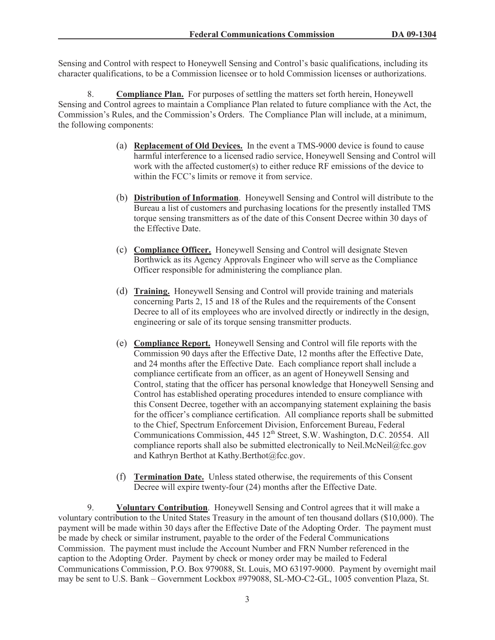Sensing and Control with respect to Honeywell Sensing and Control's basic qualifications, including its character qualifications, to be a Commission licensee or to hold Commission licenses or authorizations.

8. **Compliance Plan.** For purposes of settling the matters set forth herein, Honeywell Sensing and Control agrees to maintain a Compliance Plan related to future compliance with the Act, the Commission's Rules, and the Commission's Orders. The Compliance Plan will include, at a minimum, the following components:

- (a) **Replacement of Old Devices.** In the event a TMS-9000 device is found to cause harmful interference to a licensed radio service, Honeywell Sensing and Control will work with the affected customer(s) to either reduce RF emissions of the device to within the FCC's limits or remove it from service.
- (b) **Distribution of Information**. Honeywell Sensing and Control will distribute to the Bureau a list of customers and purchasing locations for the presently installed TMS torque sensing transmitters as of the date of this Consent Decree within 30 days of the Effective Date.
- (c) **Compliance Officer.** Honeywell Sensing and Control will designate Steven Borthwick as its Agency Approvals Engineer who will serve as the Compliance Officer responsible for administering the compliance plan.
- (d) **Training.** Honeywell Sensing and Control will provide training and materials concerning Parts 2, 15 and 18 of the Rules and the requirements of the Consent Decree to all of its employees who are involved directly or indirectly in the design, engineering or sale of its torque sensing transmitter products.
- (e) **Compliance Report.** Honeywell Sensing and Control will file reports with the Commission 90 days after the Effective Date, 12 months after the Effective Date, and 24 months after the Effective Date. Each compliance report shall include a compliance certificate from an officer, as an agent of Honeywell Sensing and Control, stating that the officer has personal knowledge that Honeywell Sensing and Control has established operating procedures intended to ensure compliance with this Consent Decree, together with an accompanying statement explaining the basis for the officer's compliance certification. All compliance reports shall be submitted to the Chief, Spectrum Enforcement Division, Enforcement Bureau, Federal Communications Commission, 445 12<sup>th</sup> Street, S.W. Washington, D.C. 20554. All compliance reports shall also be submitted electronically to Neil.McNeil@fcc.gov and Kathryn Berthot at Kathy.Berthot@fcc.gov.
- (f) **Termination Date.** Unless stated otherwise, the requirements of this Consent Decree will expire twenty-four (24) months after the Effective Date.

9. **Voluntary Contribution**. Honeywell Sensing and Control agrees that it will make a voluntary contribution to the United States Treasury in the amount of ten thousand dollars (\$10,000). The payment will be made within 30 days after the Effective Date of the Adopting Order. The payment must be made by check or similar instrument, payable to the order of the Federal Communications Commission. The payment must include the Account Number and FRN Number referenced in the caption to the Adopting Order. Payment by check or money order may be mailed to Federal Communications Commission, P.O. Box 979088, St. Louis, MO 63197-9000. Payment by overnight mail may be sent to U.S. Bank – Government Lockbox #979088, SL-MO-C2-GL, 1005 convention Plaza, St.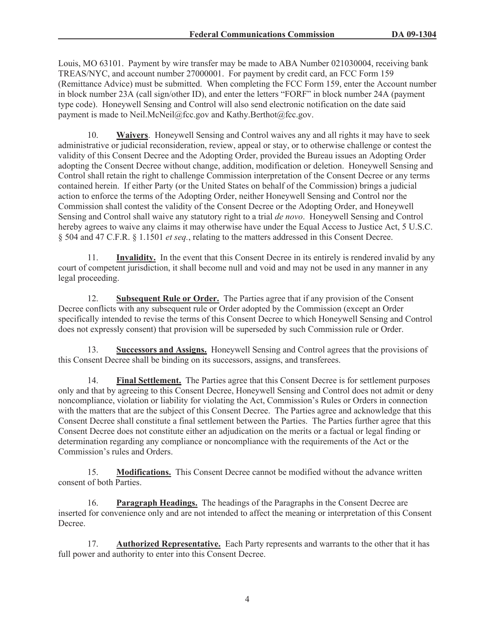Louis, MO 63101. Payment by wire transfer may be made to ABA Number 021030004, receiving bank TREAS/NYC, and account number 27000001. For payment by credit card, an FCC Form 159 (Remittance Advice) must be submitted. When completing the FCC Form 159, enter the Account number in block number 23A (call sign/other ID), and enter the letters "FORF" in block number 24A (payment type code). Honeywell Sensing and Control will also send electronic notification on the date said payment is made to Neil.McNeil@fcc.gov and Kathy.Berthot@fcc.gov.

10. **Waivers**. Honeywell Sensing and Control waives any and all rights it may have to seek administrative or judicial reconsideration, review, appeal or stay, or to otherwise challenge or contest the validity of this Consent Decree and the Adopting Order, provided the Bureau issues an Adopting Order adopting the Consent Decree without change, addition, modification or deletion. Honeywell Sensing and Control shall retain the right to challenge Commission interpretation of the Consent Decree or any terms contained herein. If either Party (or the United States on behalf of the Commission) brings a judicial action to enforce the terms of the Adopting Order, neither Honeywell Sensing and Control nor the Commission shall contest the validity of the Consent Decree or the Adopting Order, and Honeywell Sensing and Control shall waive any statutory right to a trial *de novo*. Honeywell Sensing and Control hereby agrees to waive any claims it may otherwise have under the Equal Access to Justice Act, 5 U.S.C. § 504 and 47 C.F.R. § 1.1501 *et seq.*, relating to the matters addressed in this Consent Decree.

11. **Invalidity.** In the event that this Consent Decree in its entirely is rendered invalid by any court of competent jurisdiction, it shall become null and void and may not be used in any manner in any legal proceeding.

12. **Subsequent Rule or Order.** The Parties agree that if any provision of the Consent Decree conflicts with any subsequent rule or Order adopted by the Commission (except an Order specifically intended to revise the terms of this Consent Decree to which Honeywell Sensing and Control does not expressly consent) that provision will be superseded by such Commission rule or Order.

13. **Successors and Assigns.** Honeywell Sensing and Control agrees that the provisions of this Consent Decree shall be binding on its successors, assigns, and transferees.

14. **Final Settlement.** The Parties agree that this Consent Decree is for settlement purposes only and that by agreeing to this Consent Decree, Honeywell Sensing and Control does not admit or deny noncompliance, violation or liability for violating the Act, Commission's Rules or Orders in connection with the matters that are the subject of this Consent Decree. The Parties agree and acknowledge that this Consent Decree shall constitute a final settlement between the Parties. The Parties further agree that this Consent Decree does not constitute either an adjudication on the merits or a factual or legal finding or determination regarding any compliance or noncompliance with the requirements of the Act or the Commission's rules and Orders.

15. **Modifications.** This Consent Decree cannot be modified without the advance written consent of both Parties.

16. **Paragraph Headings.** The headings of the Paragraphs in the Consent Decree are inserted for convenience only and are not intended to affect the meaning or interpretation of this Consent Decree.

17. **Authorized Representative.** Each Party represents and warrants to the other that it has full power and authority to enter into this Consent Decree.